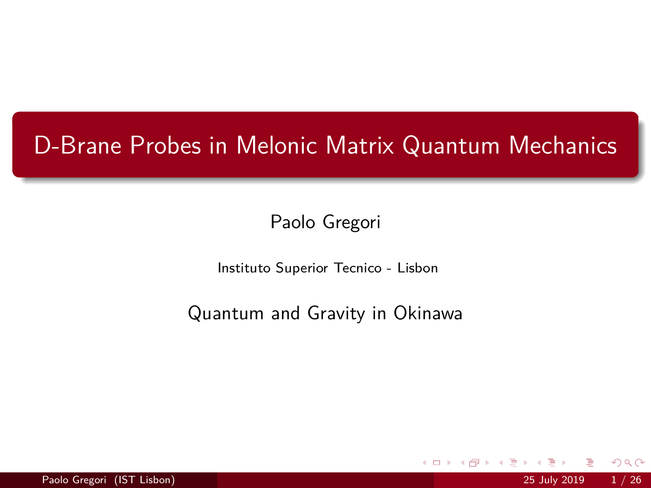# D-Brane Probes in Melonic Matrix Quantum Mechanics

Paolo Gregori

Instituto Superior Tecnico - Lisbon

Quantum and Gravity in Okinawa

4 0 8

Paolo Gregori (IST Lisbon) 25 July 2019 1 / 26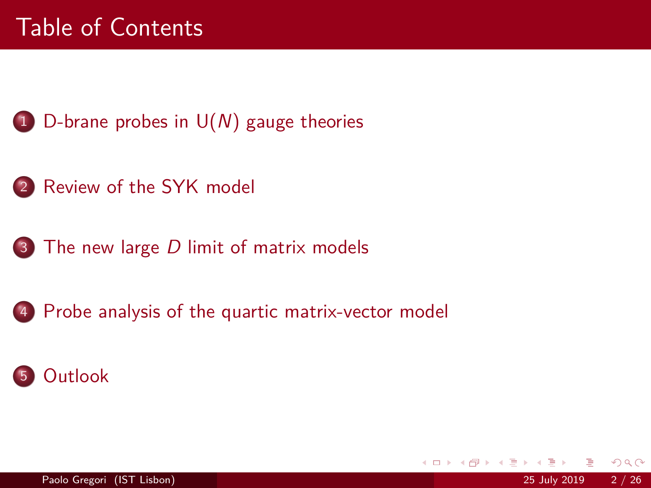# Table of Contents

- 1 D-brane probes in  $U(N)$  gauge theories
- [Review of the SYK model](#page-7-0)
- The new large D [limit of matrix models](#page-13-0)
- [Probe analysis of the quartic matrix-vector model](#page-19-0)

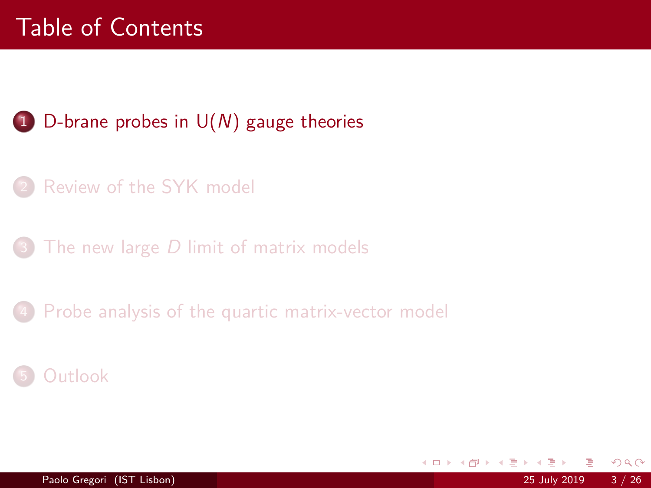# <span id="page-2-0"></span>Table of Contents

## 1 D-brane probes in  $U(N)$  gauge theories

- [Review of the SYK model](#page-7-0)
- The new large  $D$  [limit of matrix models](#page-13-0)

[Probe analysis of the quartic matrix-vector model](#page-19-0)

#### **[Outlook](#page-23-0)**

4 0 8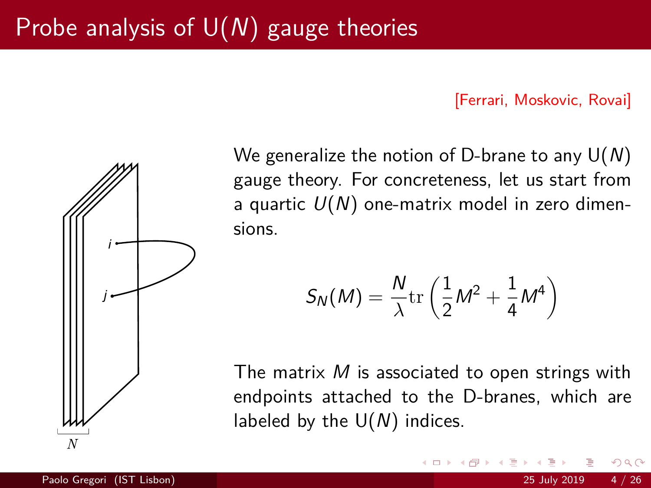#### [Ferrari, Moskovic, Rovai]



We generalize the notion of D-brane to any  $U(N)$ gauge theory. For concreteness, let us start from a quartic  $U(N)$  one-matrix model in zero dimensions.

$$
S_N(M) = \frac{N}{\lambda} \text{tr}\left(\frac{1}{2}M^2 + \frac{1}{4}M^4\right)
$$

The matrix  $M$  is associated to open strings with endpoints attached to the D-branes, which are labeled by the  $U(N)$  indices.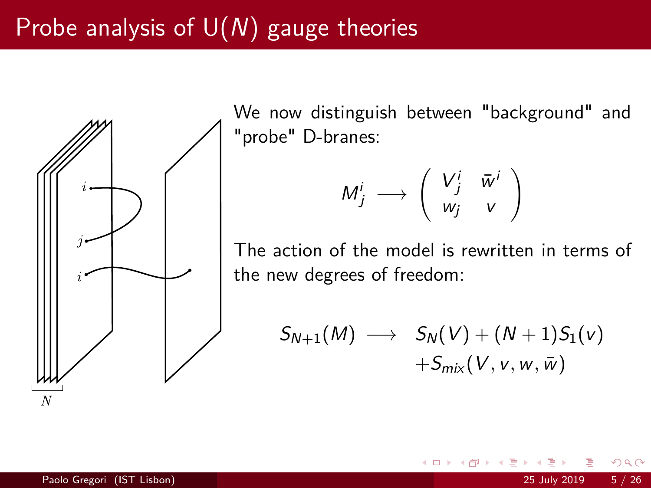

We now distinguish between "background" and "probe" D-branes:

$$
M_j^i \longrightarrow \left( \begin{array}{cc} V_j^i & \bar{w}^i \\ w_j & v \end{array} \right)
$$

The action of the model is rewritten in terms of the new degrees of freedom:

$$
S_{N+1}(M) \longrightarrow S_N(V) + (N+1)S_1(v) +S_{mix}(V, v, w, \bar{w})
$$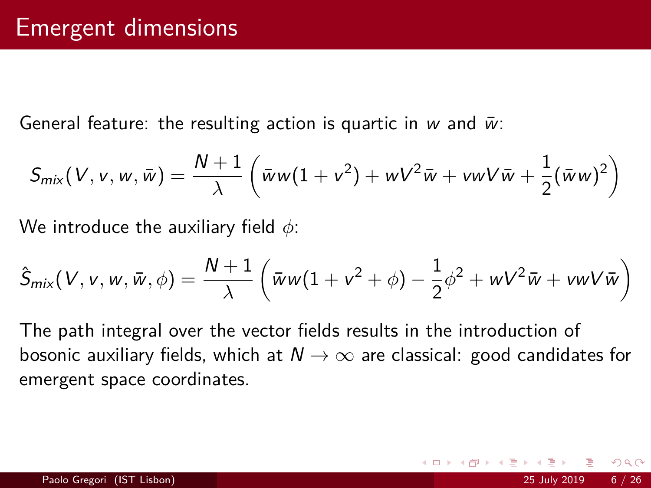General feature: the resulting action is quartic in w and  $\bar{w}$ :

$$
S_{\text{mix}}(V, v, w, \bar{w}) = \frac{N+1}{\lambda} \left( \bar{w}w(1+v^2) + wV^2\bar{w} + vwV\bar{w} + \frac{1}{2}(\bar{w}w)^2 \right)
$$

We introduce the auxiliary field *φ*:

$$
\hat{S}_{\text{mix}}(V, v, w, \bar{w}, \phi) = \frac{N+1}{\lambda} \left( \bar{w}w(1 + v^2 + \phi) - \frac{1}{2}\phi^2 + wV^2\bar{w} + vwV\bar{w} \right)
$$

The path integral over the vector fields results in the introduction of bosonic auxiliary fields, which at  $N \rightarrow \infty$  are classical: good candidates for emergent space coordinates.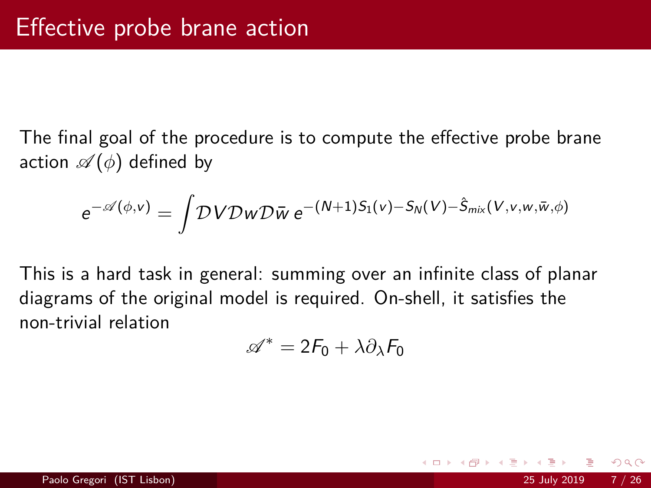The final goal of the procedure is to compute the effective probe brane action  $\mathscr{A}(\phi)$  defined by

$$
e^{-\mathscr{A}(\phi,v)} = \int \mathcal{D}V \mathcal{D}w \mathcal{D}\bar{w} e^{-(N+1)S_1(v) - S_N(V) - \hat{S}_{mix}(V,v,w,\bar{w},\phi)}
$$

This is a hard task in general: summing over an infinite class of planar diagrams of the original model is required. On-shell, it satisfies the non-trivial relation

$$
\mathscr{A}^* = 2F_0 + \lambda \partial_\lambda F_0
$$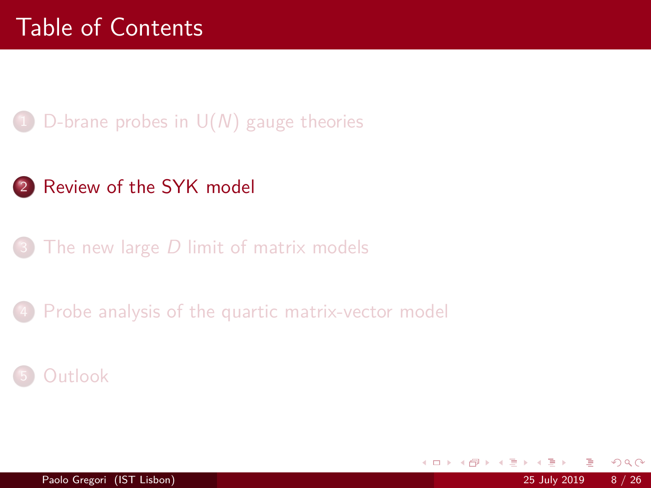## <span id="page-7-0"></span>D-brane probes in  $U(N)$  gauge theories

## 2 [Review of the SYK model](#page-7-0)

The new large  $D$  [limit of matrix models](#page-13-0)

[Probe analysis of the quartic matrix-vector model](#page-19-0)

#### **[Outlook](#page-23-0)**

4 0 8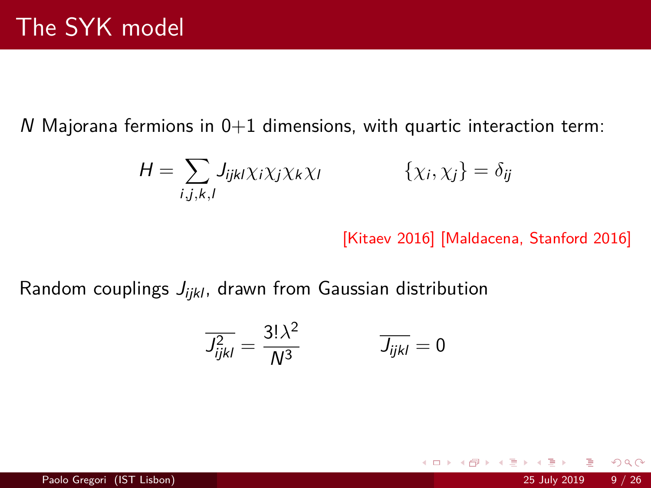$N$  Majorana fermions in  $0+1$  dimensions, with quartic interaction term:

$$
H = \sum_{i,j,k,l} J_{ijkl} \chi_i \chi_j \chi_k \chi_l \qquad \{\chi_i, \chi_j\} = \delta_{ij}
$$

[Kitaev 2016] [Maldacena, Stanford 2016]

不自下

Random couplings  $J_{ijkl}$ , drawn from Gaussian distribution

$$
\overline{J_{ijkl}^2} = \frac{3!\lambda^2}{N^3} \qquad \qquad \overline{J_{ijkl}} = 0
$$

 $2990$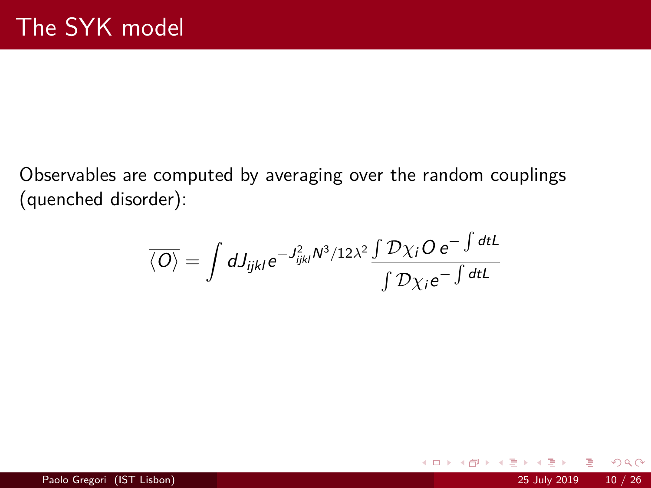Observables are computed by averaging over the random couplings (quenched disorder):

$$
\overline{\langle O \rangle} = \int dJ_{ijkl} e^{-J_{ijkl}^2 N^3/12\lambda^2} \frac{\int \mathcal{D}\chi_i O e^{-\int dtL}}{\int \mathcal{D}\chi_i e^{-\int dtL}}
$$

4 0 F

 $QQQ$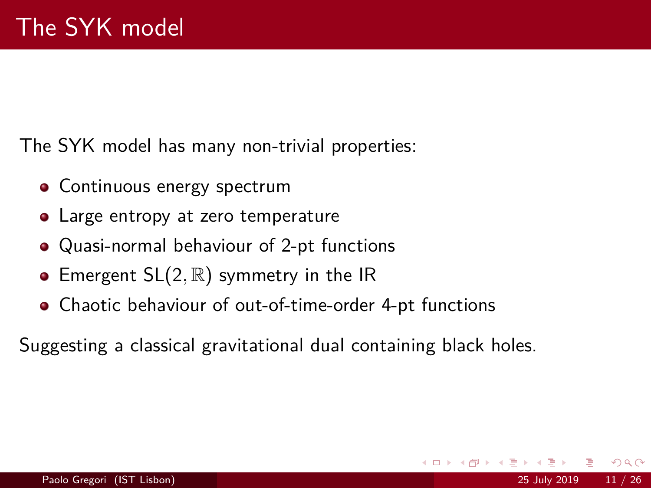The SYK model has many non-trivial properties:

- Continuous energy spectrum
- Large entropy at zero temperature
- Quasi-normal behaviour of 2-pt functions
- **E** Emergent SL(2, R) symmetry in the IR
- Chaotic behaviour of out-of-time-order 4-pt functions

Suggesting a classical gravitational dual containing black holes.

つへへ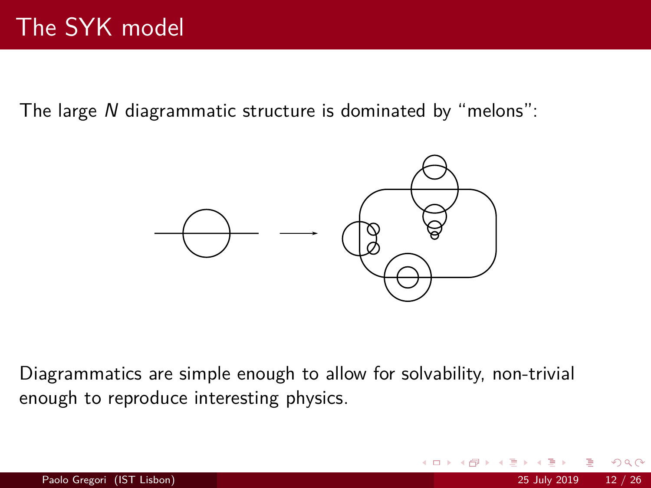The large N diagrammatic structure is dominated by "melons":



Diagrammatics are simple enough to allow for solvability, non-trivial enough to reproduce interesting physics.

つひひ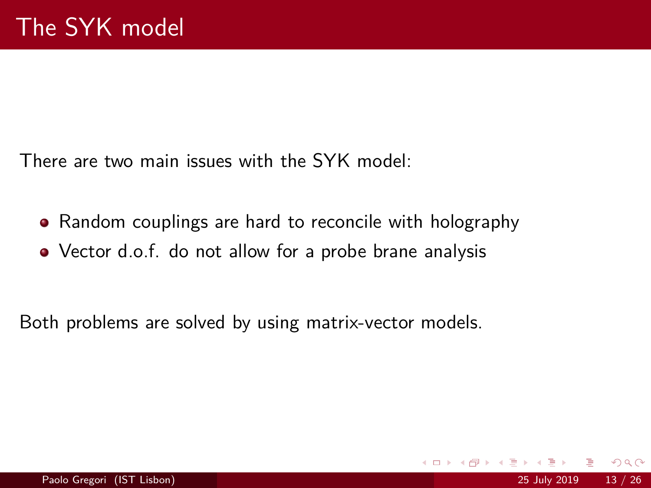There are two main issues with the SYK model:

- Random couplings are hard to reconcile with holography
- Vector d.o.f. do not allow for a probe brane analysis

Both problems are solved by using matrix-vector models.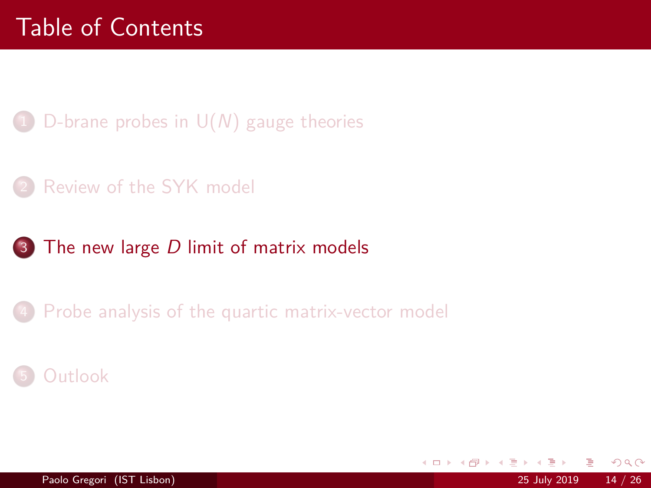- <span id="page-13-0"></span>D-brane probes in  $U(N)$  gauge theories
- [Review of the SYK model](#page-7-0)
- 3 The new large D [limit of matrix models](#page-13-0)
	- [Probe analysis of the quartic matrix-vector model](#page-19-0)

 $\Omega$ 

4 0 8



Paolo Gregori (IST Lisbon) 25 July 2019 14 / 26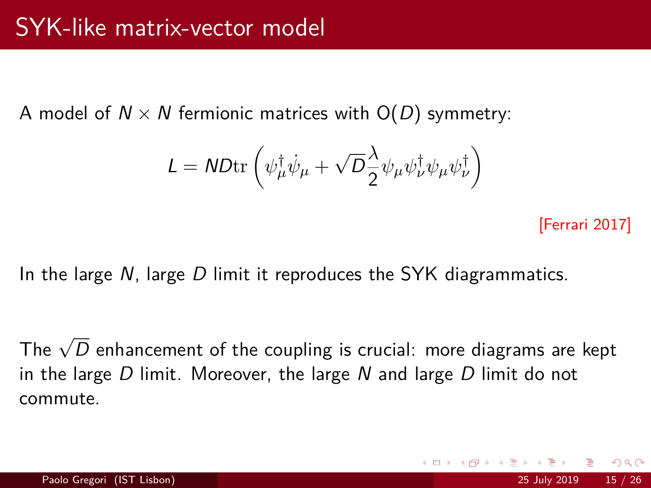A model of  $N \times N$  fermionic matrices with  $O(D)$  symmetry:

$$
\mathit{L} = \mathit{ND}\mathrm{tr}\left(\psi^\dagger_\mu \dot{\psi}_\mu + \sqrt{D} \frac{\lambda}{2} \psi_\mu \psi^\dagger_\nu \psi_\mu \psi^\dagger_\nu \right)
$$

[Ferrari 2017]

In the large  $N$ , large  $D$  limit it reproduces the SYK diagrammatics.

The  $\sqrt{D}$  enhancement of the coupling is crucial: more diagrams are kept in the large D limit. Moreover, the large N and large D limit do not commute.

つへへ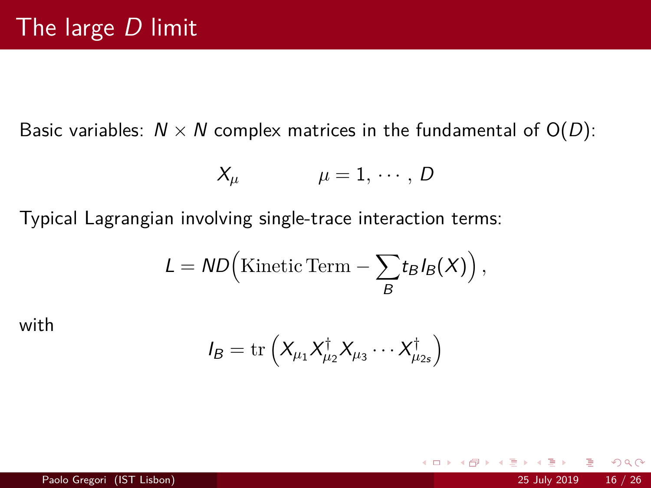Basic variables:  $N \times N$  complex matrices in the fundamental of  $O(D)$ :

$$
X_{\mu} \qquad \qquad \mu = 1, \cdots, D
$$

Typical Lagrangian involving single-trace interaction terms:

$$
L = \mathsf{ND}\Big(\mathrm{Kinetic\,Term} - \sum_B t_B I_B(X)\Big)\,,
$$

with

$$
I_B = \mathrm{tr}\left(X_{\mu_1}X_{\mu_2}^{\dagger}X_{\mu_3}\cdots X_{\mu_{2s}}^{\dagger}\right)
$$

 $\leftarrow$   $\Box$   $\rightarrow$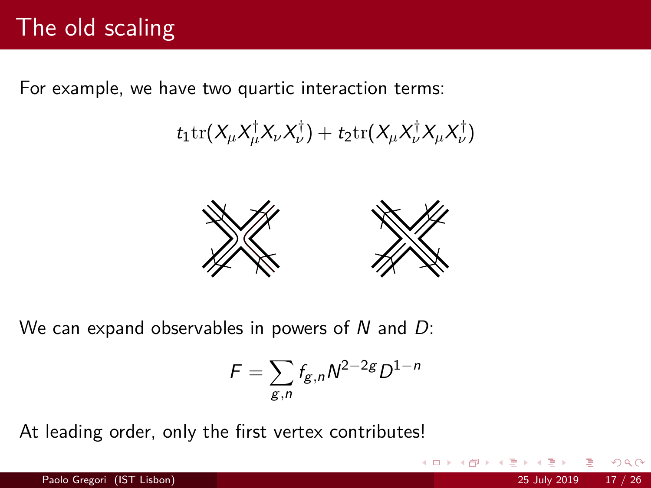# The old scaling

For example, we have two quartic interaction terms:

 $t_1 \text{tr}(X_\mu X_\mu^\dagger X_\nu X_\nu^\dagger) + t_2 \text{tr}(X_\mu X_\nu^\dagger X_\mu X_\nu^\dagger)$ 



We can expand observables in powers of  $N$  and  $D$ :

$$
F = \sum_{g,n} f_{g,n} N^{2-2g} D^{1-n}
$$

 $\Omega$ 

At leading order, only the first vertex contributes!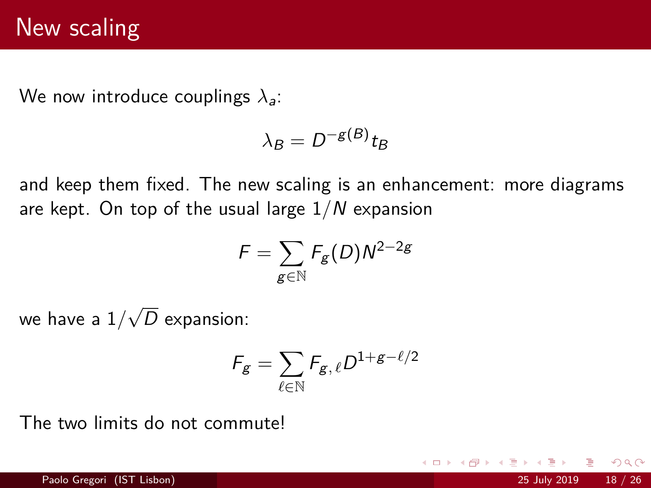We now introduce couplings *λ*a:

$$
\lambda_B = D^{-g(B)} t_B
$$

and keep them fixed. The new scaling is an enhancement: more diagrams are kept. On top of the usual large 1*/*N expansion

$$
\digamma = \sum_{g \in \mathbb{N}} \mathcal{F}_g(D) N^{2-2g}
$$

we have a 1*/* √ D expansion:

$$
\mathcal{F}_{g} = \sum_{\ell \in \mathbb{N}} \mathcal{F}_{g,\,\ell} D^{1+g-\ell/2}
$$

The two limits do not commute!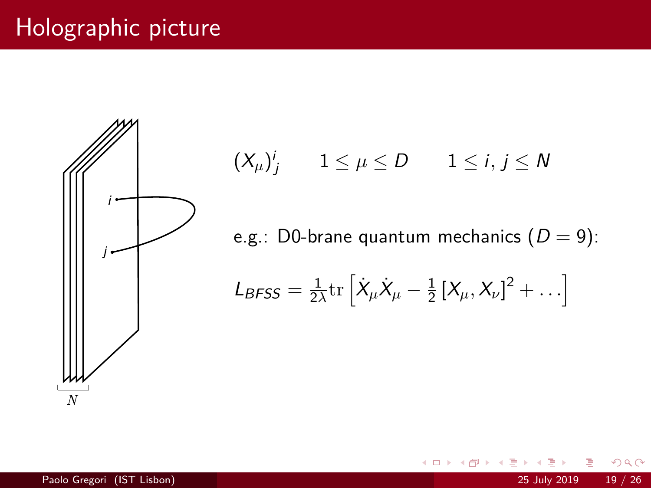# Holographic picture



 $\left(X_\mu\right)^j_j$   $1 \leq \mu \leq D$   $1 \leq i,j \leq N$ 

e.g.: D0-brane quantum mechanics  $(D = 9)$ :

4 0 8

$$
L_{BFSS} = \frac{1}{2\lambda} \text{tr} \left[ \dot{X}_{\mu} \dot{X}_{\mu} - \frac{1}{2} \left[ X_{\mu}, X_{\nu} \right]^{2} + \ldots \right]
$$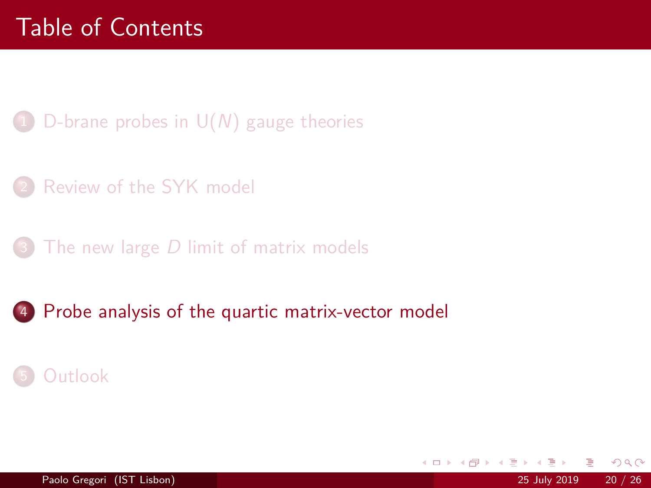- <span id="page-19-0"></span>D-brane probes in  $U(N)$  gauge theories
- [Review of the SYK model](#page-7-0)
- The new large  $D$  [limit of matrix models](#page-13-0)
- 4 [Probe analysis of the quartic matrix-vector model](#page-19-0)

## **[Outlook](#page-23-0)**

4 0 8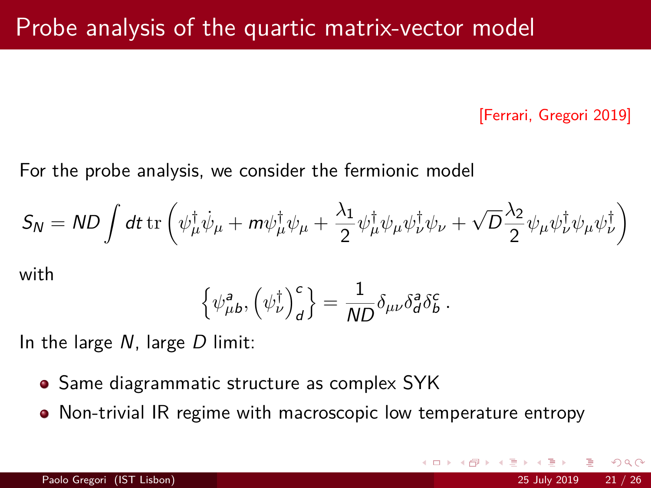[Ferrari, Gregori 2019]

 $\Omega$ 

For the probe analysis, we consider the fermionic model

$$
S_N = ND \int dt \,\mathrm{tr}\left(\psi_\mu^\dagger \dot{\psi}_\mu + m \psi_\mu^\dagger \psi_\mu + \frac{\lambda_1}{2} \psi_\mu^\dagger \psi_\mu \psi_\nu^\dagger \psi_\nu + \sqrt{D} \frac{\lambda_2}{2} \psi_\mu \psi_\nu^\dagger \psi_\mu \psi_\nu^\dagger \right)
$$

with

$$
\left\{ \psi_{\mu b}^{\mathsf{a}}, \left( \psi_{\nu}^{\dagger} \right)^{\mathsf{c}}_{\mathsf{d}} \right\} = \frac{1}{\mathsf{N} \mathsf{D}} \delta_{\mu \nu} \delta_{\mathsf{d}}^{\mathsf{a}} \delta_{\mathsf{b}}^{\mathsf{c}} \ .
$$

In the large  $N$ , large  $D$  limit:

- Same diagrammatic structure as complex SYK
- Non-trivial IR regime with macroscopic low temperature entropy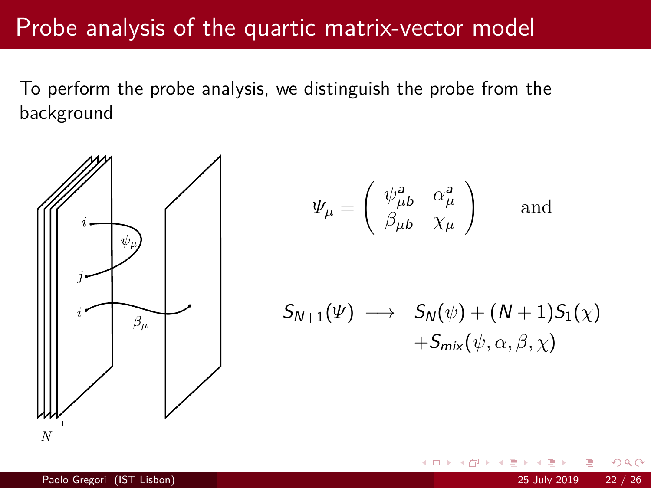## Probe analysis of the quartic matrix-vector model

To perform the probe analysis, we distinguish the probe from the background



$$
\Psi_{\mu} = \begin{pmatrix} \psi_{\mu b}^{a} & \alpha_{\mu}^{a} \\ \beta_{\mu b} & \chi_{\mu} \end{pmatrix} \text{ and }
$$

$$
S_{N+1}(\Psi) \longrightarrow S_N(\psi) + (N+1)S_1(\chi) + S_{mix}(\psi, \alpha, \beta, \chi)
$$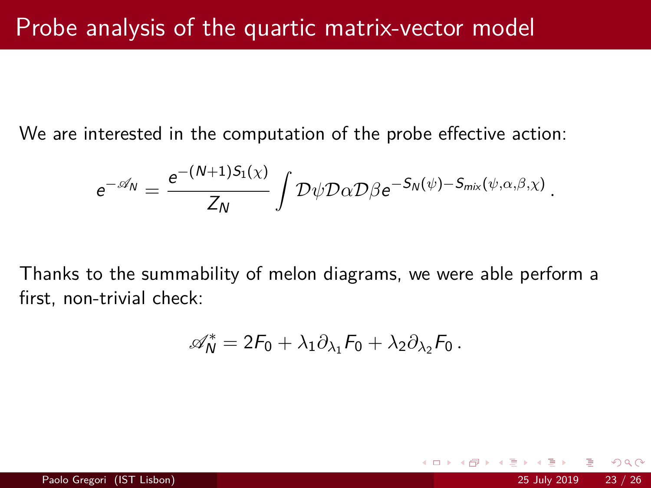We are interested in the computation of the probe effective action:

$$
e^{-\mathscr{A}_{N}} = \frac{e^{-(N+1)S_1(\chi)}}{Z_N} \int \mathcal{D}\psi \mathcal{D}\alpha \mathcal{D}\beta e^{-S_N(\psi) - S_{\text{mix}}(\psi,\alpha,\beta,\chi)}
$$

Thanks to the summability of melon diagrams, we were able perform a first, non-trivial check:

$$
\mathscr{A}_N^* = 2F_0 + \lambda_1 \partial_{\lambda_1} F_0 + \lambda_2 \partial_{\lambda_2} F_0 \,.
$$

 $\Omega$ 

*.*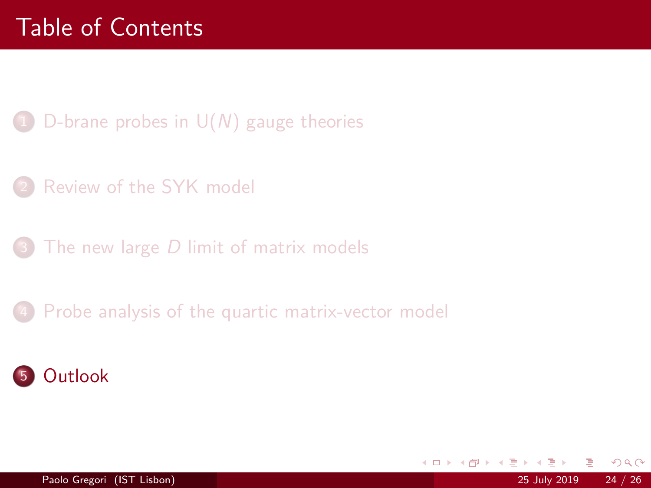- <span id="page-23-0"></span>D-brane probes in  $U(N)$  gauge theories
- [Review of the SYK model](#page-7-0)
- The new large  $D$  [limit of matrix models](#page-13-0)
- [Probe analysis of the quartic matrix-vector model](#page-19-0)



4 0 8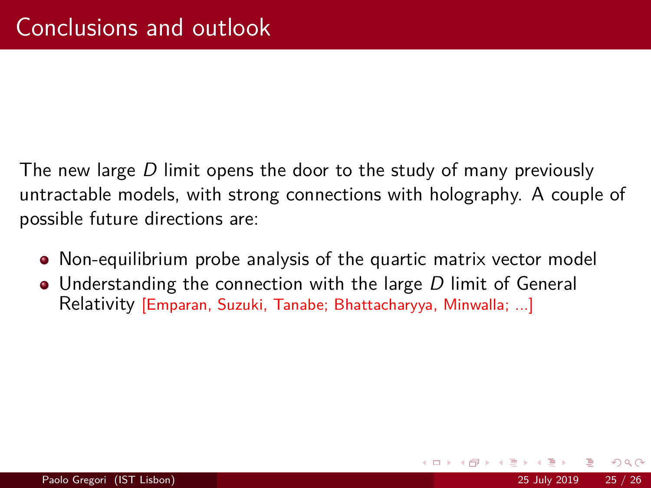The new large D limit opens the door to the study of many previously untractable models, with strong connections with holography. A couple of possible future directions are:

- Non-equilibrium probe analysis of the quartic matrix vector model
- Understanding the connection with the large D limit of General Relativity [Emparan, Suzuki, Tanabe; Bhattacharyya, Minwalla; ...]